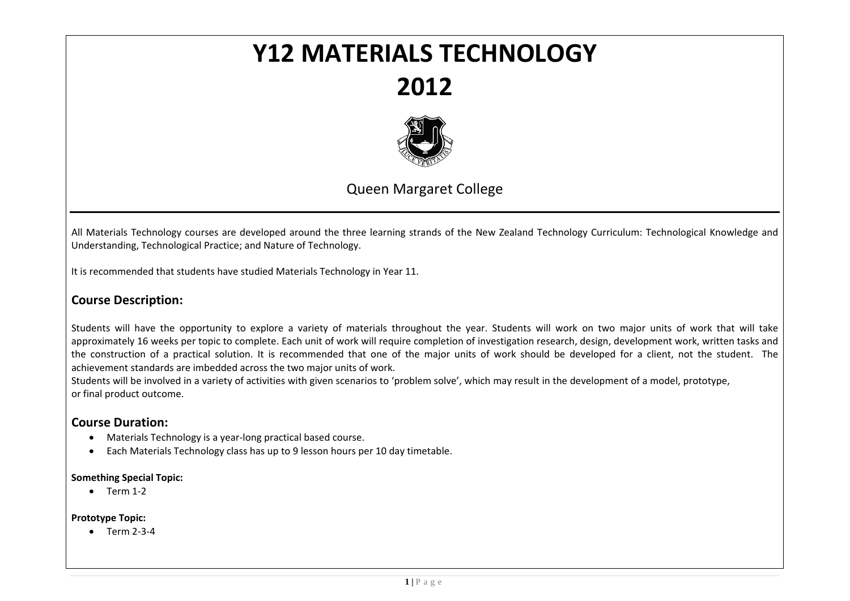# **Y12 MATERIALS TECHNOLOGY2012**



# Queen Margaret College

All Materials Technology courses are developed around the three learning strands of the New Zealand Technology Curriculum: Technological Knowledge and Understanding, Technological Practice; and Nature of Technology.

It is recommended that students have studied Materials Technology in Year 11.

# **Course Description:**

Students will have the opportunity to explore <sup>a</sup> variety of materials throughout the year. Students will work on two major units of work that will take approximately 16 weeks per topic to complete. Each unit of work will require completion of investigation research, design, development work, written tasks and the construction of <sup>a</sup> practical solution. It is recommended that one of the major units of work should be developed for <sup>a</sup> client, not the student. The achievement standards are imbedded across the two major units of work.

Students will be involved in <sup>a</sup> variety of activities with given scenarios to 'problem solve', which may result in the development of <sup>a</sup> model, prototype, or final product outcome.

# **Course Duration:**

- Materials Technology is a year-long practical based course.
- $\bullet$ Each Materials Technology class has up to 9 lesson hours per 10 day timetable.

#### **Something Special Topic:**

 $\bullet$  Term 1-2

# **Prototype Topic:**

● Term 2-3-4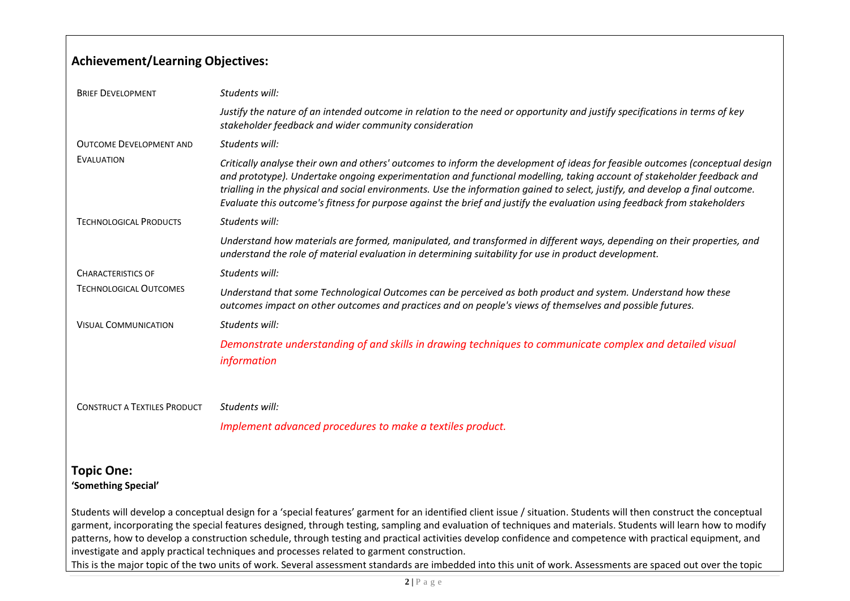# **Achievement/Learning Objectives:**

| <b>BRIEF DEVELOPMENT</b>            | Students will:                                                                                                                                                                                                                                                                                                                                                                                                                                                                                                         |
|-------------------------------------|------------------------------------------------------------------------------------------------------------------------------------------------------------------------------------------------------------------------------------------------------------------------------------------------------------------------------------------------------------------------------------------------------------------------------------------------------------------------------------------------------------------------|
|                                     | Justify the nature of an intended outcome in relation to the need or opportunity and justify specifications in terms of key<br>stakeholder feedback and wider community consideration                                                                                                                                                                                                                                                                                                                                  |
| <b>OUTCOME DEVELOPMENT AND</b>      | Students will:                                                                                                                                                                                                                                                                                                                                                                                                                                                                                                         |
| EVALUATION                          | Critically analyse their own and others' outcomes to inform the development of ideas for feasible outcomes (conceptual design<br>and prototype). Undertake ongoing experimentation and functional modelling, taking account of stakeholder feedback and<br>trialling in the physical and social environments. Use the information gained to select, justify, and develop a final outcome.<br>Evaluate this outcome's fitness for purpose against the brief and justify the evaluation using feedback from stakeholders |
| <b>TECHNOLOGICAL PRODUCTS</b>       | Students will:                                                                                                                                                                                                                                                                                                                                                                                                                                                                                                         |
|                                     | Understand how materials are formed, manipulated, and transformed in different ways, depending on their properties, and<br>understand the role of material evaluation in determining suitability for use in product development.                                                                                                                                                                                                                                                                                       |
| <b>CHARACTERISTICS OF</b>           | Students will:                                                                                                                                                                                                                                                                                                                                                                                                                                                                                                         |
| <b>TECHNOLOGICAL OUTCOMES</b>       | Understand that some Technological Outcomes can be perceived as both product and system. Understand how these<br>outcomes impact on other outcomes and practices and on people's views of themselves and possible futures.                                                                                                                                                                                                                                                                                             |
| <b>VISUAL COMMUNICATION</b>         | Students will:                                                                                                                                                                                                                                                                                                                                                                                                                                                                                                         |
|                                     | Demonstrate understanding of and skills in drawing techniques to communicate complex and detailed visual<br><i>information</i>                                                                                                                                                                                                                                                                                                                                                                                         |
| <b>CONSTRUCT A TEXTILES PRODUCT</b> | Students will:                                                                                                                                                                                                                                                                                                                                                                                                                                                                                                         |
|                                     | Implement advanced procedures to make a textiles product.                                                                                                                                                                                                                                                                                                                                                                                                                                                              |
|                                     |                                                                                                                                                                                                                                                                                                                                                                                                                                                                                                                        |

# **Topic One: 'Something Special'**

Students will develop <sup>a</sup> conceptual design for <sup>a</sup> 'special features' garment for an identified client issue / situation. Students will then construct the conceptual garment, incorporating the special features designed, through testing, sampling and evaluation of techniques and materials. Students will learn how to modify patterns, how to develop <sup>a</sup> construction schedule, through testing and practical activities develop confidence and competence with practical equipment, and investigate and apply practical techniques and processes related to garment construction. This is the major topic of the two units of work. Several assessment standards are imbedded into this unit of work. Assessments are spaced out over the topic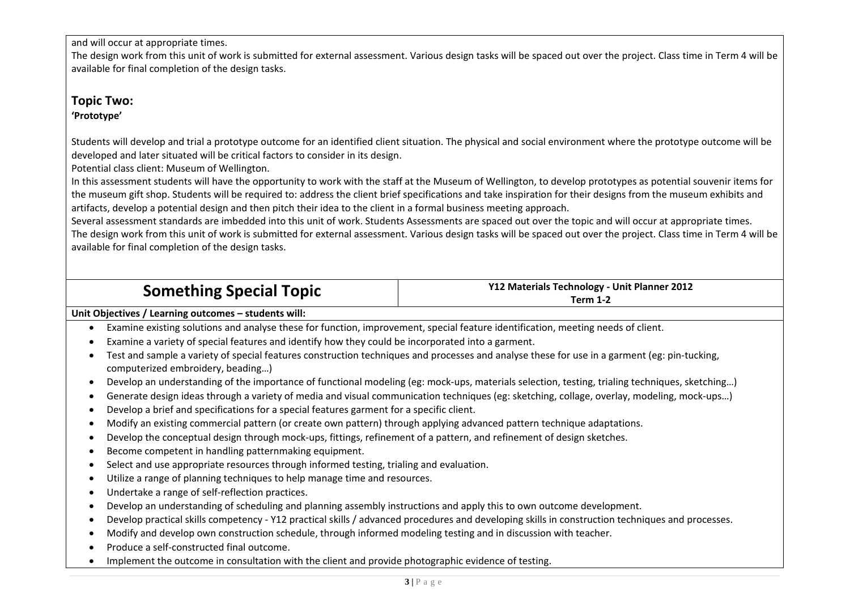and will occur at appropriate times.

The design work from this unit of work is submitted for external assessment. Various design tasks will be spaced out over the project. Class time in Term 4 will be available for final completion of the design tasks.

# **Topic Two: 'Prototype'**

Students will develop and trial <sup>a</sup> prototype outcome for an identified client situation. The physical and social environment where the prototype outcome will be developed and later situated will be critical factors to consider in its design.

Potential class client: Museum of Wellington.

In this assessment students will have the opportunity to work with the staff at the Museum of Wellington, to develop prototypes as potential souvenir items for the museum gift shop. Students will be required to: address the client brief specifications and take inspiration for their designs from the museum exhibits and artifacts, develop <sup>a</sup> potential design and then pitch their idea to the client in <sup>a</sup> formal business meeting approach.

Several assessment standards are imbedded into this unit of work. Students Assessments are spaced out over the topic and will occur at appropriate times. The design work from this unit of work is submitted for external assessment. Various design tasks will be spaced out over the project. Class time in Term 4 will be available for final completion of the design tasks.

| <b>Something Special Topic</b> | Y12 Materials Technology - Unit Planner 2012<br>Term 1-2 |
|--------------------------------|----------------------------------------------------------|
|                                |                                                          |

# **Unit Objectives / Learning outcomes – students will:**

- . Examine existing solutions and analyse these for function, improvement, special feature identification, meeting needs of client.
- 0 Examine <sup>a</sup> variety of special features and identify how they could be incorporated into <sup>a</sup> garment.
- 0 Test and sample <sup>a</sup> variety of special features construction techniques and processes and analyse these for use in <sup>a</sup> garment (eg: pin‐tucking, computerized embroidery, beading…)
- Develop an understanding of the importance of functional modeling (eg: mock-ups, materials selection, testing, trialing techniques, sketching...)
- $\bullet$ Generate design ideas through <sup>a</sup> variety of media and visual communication techniques (eg: sketching, collage, overlay, modeling, mock‐ups…)
- $\bullet$ Develop <sup>a</sup> brief and specifications for <sup>a</sup> special features garment for <sup>a</sup> specific client.
- $\bullet$ Modify an existing commercial pattern (or create own pattern) through applying advanced pattern technique adaptations.
- $\bullet$ Develop the conceptual design through mock-ups, fittings, refinement of a pattern, and refinement of design sketches.
- $\bullet$ **Become competent in handling patternmaking equipment.**
- Ò • Select and use appropriate resources through informed testing, trialing and evaluation.
- $\bullet$ Utilize <sup>a</sup> range of planning techniques to help manage time and resources.
- $\bullet$ ● Undertake a range of self-reflection practices.
- Ò Develop an understanding of scheduling and planning assembly instructions and apply this to own outcome development.
- $\bullet$ Develop practical skills competency ‐ Y12 practical skills / advanced procedures and developing skills in construction techniques and processes.
- $\bullet$ Modify and develop own construction schedule, through informed modeling testing and in discussion with teacher.
- Ò ● Produce a self-constructed final outcome.
- . Implement the outcome in consultation with the client and provide photographic evidence of testing.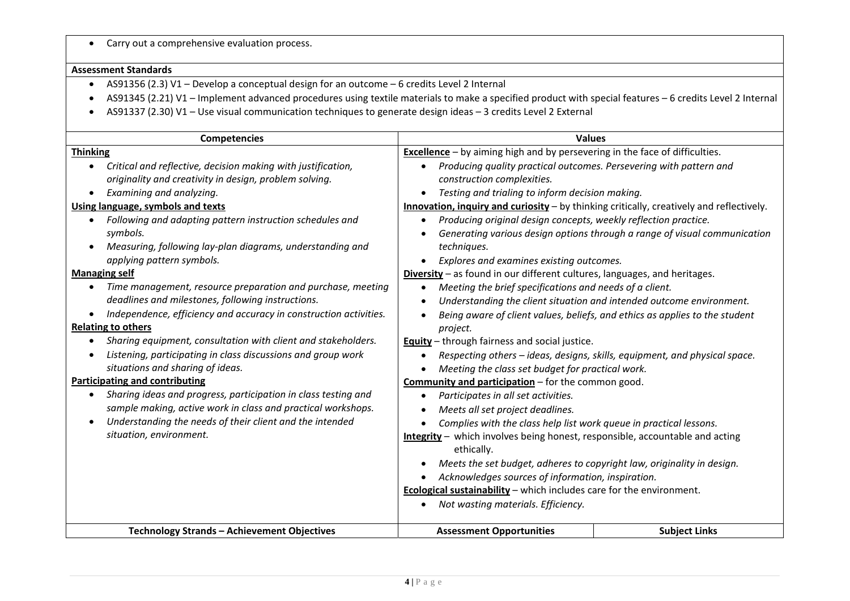|  |  |  |  |  | Carry out a comprehensive evaluation process. |  |
|--|--|--|--|--|-----------------------------------------------|--|
|--|--|--|--|--|-----------------------------------------------|--|

#### **Assessment Standards**

- AS91356 (2.3) V1 Develop <sup>a</sup> conceptual design for an outcome 6 credits Level 2 Internal
- AS91345 (2.21) V1 Implement advanced procedures using textile materials to make <sup>a</sup> specified product with special features 6 credits Level 2 Internal
- AS91337 (2.30) V1 Use visual communication techniques to generate design ideas 3 credits Level 2 External

| <b>Competencies</b>                                                                                | <b>Values</b>                                                                            |                                                                             |  |
|----------------------------------------------------------------------------------------------------|------------------------------------------------------------------------------------------|-----------------------------------------------------------------------------|--|
| <b>Thinking</b>                                                                                    | <b>Excellence</b> - by aiming high and by persevering in the face of difficulties.       |                                                                             |  |
| Critical and reflective, decision making with justification,                                       | Producing quality practical outcomes. Persevering with pattern and<br>$\bullet$          |                                                                             |  |
| originality and creativity in design, problem solving.                                             | construction complexities.                                                               |                                                                             |  |
| Examining and analyzing.<br>$\bullet$                                                              | Testing and trialing to inform decision making.                                          |                                                                             |  |
| Using language, symbols and texts                                                                  | Innovation, inquiry and curiosity - by thinking critically, creatively and reflectively. |                                                                             |  |
| Following and adapting pattern instruction schedules and<br>$\bullet$                              | Producing original design concepts, weekly reflection practice.                          |                                                                             |  |
| symbols.                                                                                           |                                                                                          | Generating various design options through a range of visual communication   |  |
| Measuring, following lay-plan diagrams, understanding and<br>$\bullet$                             | techniques.                                                                              |                                                                             |  |
| applying pattern symbols.                                                                          | Explores and examines existing outcomes.                                                 |                                                                             |  |
| <b>Managing self</b>                                                                               | Diversity - as found in our different cultures, languages, and heritages.                |                                                                             |  |
| Time management, resource preparation and purchase, meeting<br>٠                                   | Meeting the brief specifications and needs of a client.<br>$\bullet$                     |                                                                             |  |
| deadlines and milestones, following instructions.                                                  |                                                                                          | Understanding the client situation and intended outcome environment.        |  |
| Independence, efficiency and accuracy in construction activities.                                  |                                                                                          | Being aware of client values, beliefs, and ethics as applies to the student |  |
| <b>Relating to others</b>                                                                          | project.                                                                                 |                                                                             |  |
| Sharing equipment, consultation with client and stakeholders.<br>$\bullet$                         | <b>Equity</b> - through fairness and social justice.                                     |                                                                             |  |
| Listening, participating in class discussions and group work<br>$\bullet$                          | Respecting others - ideas, designs, skills, equipment, and physical space.               |                                                                             |  |
| situations and sharing of ideas.                                                                   | Meeting the class set budget for practical work.                                         |                                                                             |  |
| <b>Participating and contributing</b><br><b>Community and participation</b> - for the common good. |                                                                                          |                                                                             |  |
| Sharing ideas and progress, participation in class testing and<br>$\bullet$                        | Participates in all set activities.<br>$\bullet$                                         |                                                                             |  |
| sample making, active work in class and practical workshops.                                       | Meets all set project deadlines.                                                         |                                                                             |  |
| Understanding the needs of their client and the intended<br>$\bullet$                              | Complies with the class help list work queue in practical lessons.                       |                                                                             |  |
| situation, environment.                                                                            | Integrity - which involves being honest, responsible, accountable and acting             |                                                                             |  |
|                                                                                                    | ethically.                                                                               |                                                                             |  |
|                                                                                                    | Meets the set budget, adheres to copyright law, originality in design.                   |                                                                             |  |
|                                                                                                    | Acknowledges sources of information, inspiration.                                        |                                                                             |  |
|                                                                                                    | Ecological sustainability - which includes care for the environment.                     |                                                                             |  |
|                                                                                                    | Not wasting materials. Efficiency.                                                       |                                                                             |  |
|                                                                                                    |                                                                                          |                                                                             |  |
| Technology Strands - Achievement Objectives                                                        | <b>Assessment Opportunities</b>                                                          | <b>Subject Links</b>                                                        |  |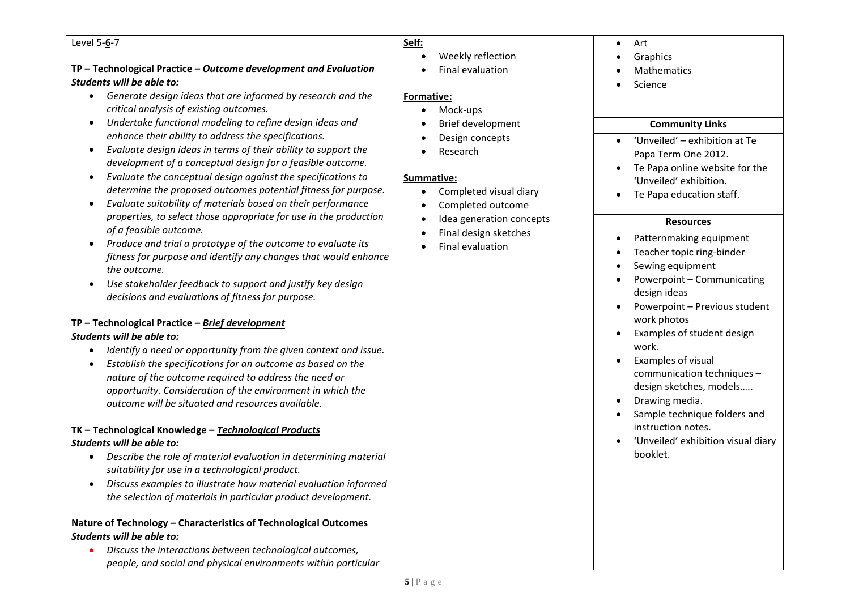#### Level 5‐**6**‐7

# **TP – Technological Practice –** *Outcome development and Evaluation Students will be able to:*

- *Generate design ideas that are informed by research and the critical analysis of existing outcomes.*
- *Undertake functional modeling to refine design ideas and enhance their ability to address the specifications.*
- *Evaluate design ideas in terms of their ability to support the development of <sup>a</sup> conceptual design for <sup>a</sup> feasible outcome.*
- *Evaluate the conceptual design against the specifications to determine the proposed outcomes potential fitness for purpose.*
- *Evaluate suitability of materials based on their performance properties, to select those appropriate for use in the production of <sup>a</sup> feasible outcome.*
- *Produce and trial <sup>a</sup> prototype of the outcome to evaluate its fitness for purpose and identify any changes that would enhance the outcome.*
- *Use stakeholder feedback to support and justify key design decisions and evaluations of fitness for purpose.*

# **TP – Technological Practice –** *Brief development Students will be able to:*

- *Identify <sup>a</sup> need or opportunity from the given context and issue.*
- *Establish the specifications for an outcome as based on the nature of the outcome required to address the need or opportunity. Consideration of the environment in which the outcome will be situated and resources available.*

# **TK – Technological Knowledge –** *Technological Products Students will be able to:*

- *Describe the role of material evaluation in determining material suitability for use in <sup>a</sup> technological product.*
- *Discuss examples to illustrate how material evaluation informed the selection of materials in particular product development.*

# **Nature of Technology – Characteristics of Technological Outcomes** *Students will be able to:*

 *Discuss the interactions between technological outcomes, people, and social and physical environments within particular*

# **Self:**

- $\bullet$  Weekly reflection
	- Final evaluation

# **Formative:**

 $\blacktriangle$ 

- $\bullet$ Mock‐ups
- . Brief development
- . Design concepts
- $\bullet$ Research

# **Summative:**

- $\bullet$ Completed visual diary
- $\bullet$ Completed outcome
- . • Idea generation concepts
- 0 Final design sketches
- 0 Final evaluation
- $\bullet$ Art
- 0 **Graphics**
- 0 Mathematics
- 0 Science

# **Community Links**

- $\bullet$  'Unveiled' – exhibition at Te Papa Term One 2012.
- Te Papa online website for the 'Unveiled' exhibition.
- Te Papa education staff.

# **Resources**

- $\bullet$ Patternmaking equipment
- . Teacher topic ring‐binder
- . Sewing equipment
- 0 Powerpoint – Communicating design ideas
- Powerpoint Previous student work photos
- Examples of student design work.
- . Examples of visual communication techniques – design sketches, models…..
- . Drawing media.
- . Sample technique folders and instruction notes.
- 'Unveiled' exhibition visual diary booklet.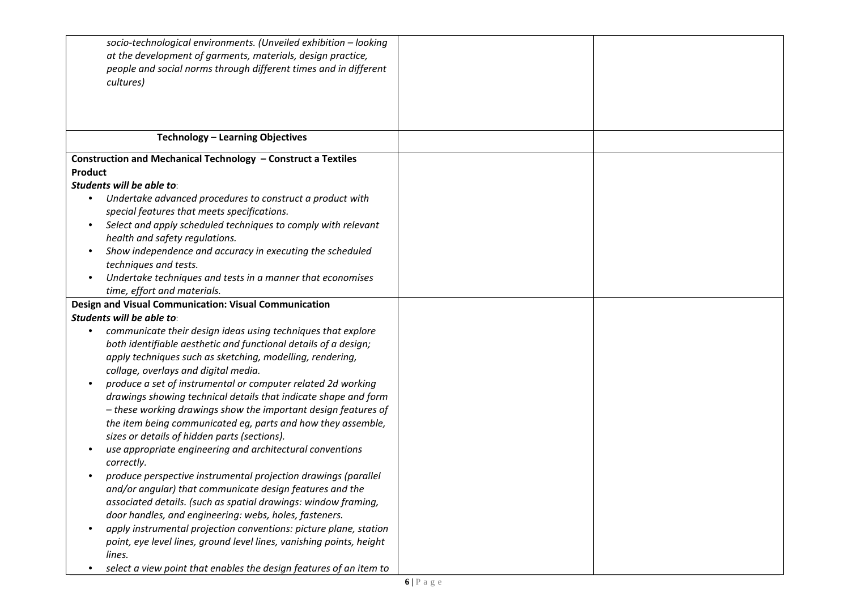| socio-technological environments. (Unveiled exhibition - looking<br>at the development of garments, materials, design practice,<br>people and social norms through different times and in different<br>cultures)                                                                                                               |  |
|--------------------------------------------------------------------------------------------------------------------------------------------------------------------------------------------------------------------------------------------------------------------------------------------------------------------------------|--|
| Technology - Learning Objectives                                                                                                                                                                                                                                                                                               |  |
| Construction and Mechanical Technology - Construct a Textiles<br>Product<br>Students will be able to:                                                                                                                                                                                                                          |  |
| Undertake advanced procedures to construct a product with<br>$\bullet$<br>special features that meets specifications.<br>Select and apply scheduled techniques to comply with relevant<br>$\bullet$                                                                                                                            |  |
| health and safety regulations.<br>Show independence and accuracy in executing the scheduled<br>$\bullet$<br>techniques and tests.<br>Undertake techniques and tests in a manner that economises<br>$\bullet$                                                                                                                   |  |
| time, effort and materials.<br>Design and Visual Communication: Visual Communication                                                                                                                                                                                                                                           |  |
| Students will be able to:                                                                                                                                                                                                                                                                                                      |  |
| communicate their design ideas using techniques that explore<br>$\bullet$<br>both identifiable aesthetic and functional details of a design;<br>apply techniques such as sketching, modelling, rendering,<br>collage, overlays and digital media.                                                                              |  |
| produce a set of instrumental or computer related 2d working<br>$\bullet$<br>drawings showing technical details that indicate shape and form<br>- these working drawings show the important design features of<br>the item being communicated eg, parts and how they assemble,<br>sizes or details of hidden parts (sections). |  |
| use appropriate engineering and architectural conventions<br>correctly.                                                                                                                                                                                                                                                        |  |
| produce perspective instrumental projection drawings (parallel<br>and/or angular) that communicate design features and the<br>associated details. (such as spatial drawings: window framing,<br>door handles, and engineering: webs, holes, fasteners.                                                                         |  |
| apply instrumental projection conventions: picture plane, station<br>$\bullet$<br>point, eye level lines, ground level lines, vanishing points, height<br>lines.                                                                                                                                                               |  |
| select a view point that enables the design features of an item to                                                                                                                                                                                                                                                             |  |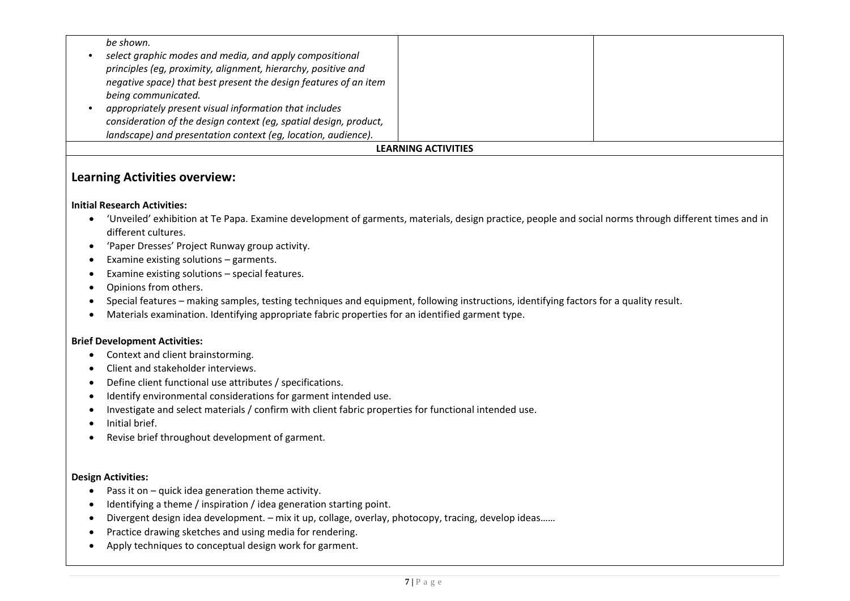|                            | be shown.                                                         |  |  |  |
|----------------------------|-------------------------------------------------------------------|--|--|--|
|                            | select graphic modes and media, and apply compositional           |  |  |  |
|                            | principles (eg, proximity, alignment, hierarchy, positive and     |  |  |  |
|                            | negative space) that best present the design features of an item  |  |  |  |
|                            | being communicated.                                               |  |  |  |
|                            | appropriately present visual information that includes            |  |  |  |
|                            | consideration of the design context (eg, spatial design, product, |  |  |  |
|                            | landscape) and presentation context (eq, location, audience).     |  |  |  |
| <b>LEARNING ACTIVITIES</b> |                                                                   |  |  |  |

# **Learning Activities overview:**

## **Initial Research Activities:**

- 'Unveiled' exhibition at Te Papa. Examine development of garments, materials, design practice, people and social norms through different times and in different cultures.
- 'Paper Dresses' Project Runway group activity.
- Examine existing solutions garments.
- Examine existing solutions special features.
- Opinions from others.
- Special features making samples, testing techniques and equipment, following instructions, identifying factors for a quality result.
- Materials examination. Identifying appropriate fabric properties for an identified garment type.

#### **Brief Development Activities:**

- Context and client brainstorming.
- Client and stakeholder interviews.
- Define client functional use attributes / specifications.
- $\bullet$ Identify environmental considerations for garment intended use.
- $\bullet$ Investigate and select materials / confirm with client fabric properties for functional intended use.
- Initial brief.
- $\bullet$ Revise brief throughout development of garment.

#### **Design Activities:**

- Pass it on quick idea generation theme activity.
- Ò Identifying <sup>a</sup> theme / inspiration / idea generation starting point.
- Divergent design idea development. mix it up, collage, overlay, photocopy, tracing, develop ideas……
- Practice drawing sketches and using media for rendering.
- Ò Apply techniques to conceptual design work for garment.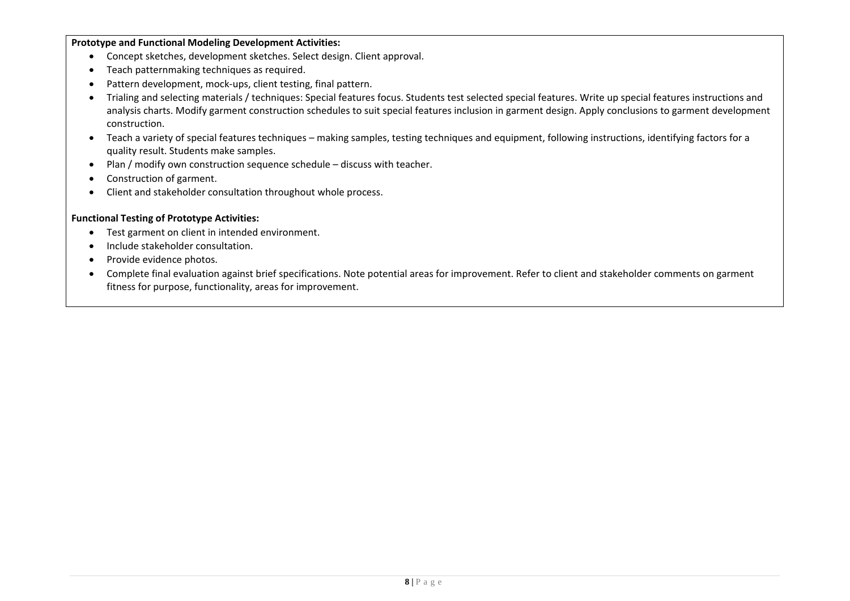**Prototype and Functional Modeling Development Activities:**

- Concept sketches, development sketches. Select design. Client approval.
- Teach patternmaking techniques as required.
- $\bullet$ ● Pattern development, mock-ups, client testing, final pattern.
- Trialing and selecting materials / techniques: Special features focus. Students test selected special features. Write up special features instructions and analysis charts. Modify garment construction schedules to suit special features inclusion in garment design. Apply conclusions to garment development construction.
- Teach <sup>a</sup> variety of special features techniques making samples, testing techniques and equipment, following instructions, identifying factors for <sup>a</sup> quality result. Students make samples.
- Plan / modify own construction sequence schedule discuss with teacher.
- 0 Construction of garment.
- $\bullet$ Client and stakeholder consultation throughout whole process.

## **Functional Testing of Prototype Activities:**

- Test garment on client in intended environment.
- $\bullet$ **•** Include stakeholder consultation.
- $\bullet$ • Provide evidence photos.
- $\bullet$  Complete final evaluation against brief specifications. Note potential areas for improvement. Refer to client and stakeholder comments on garment fitness for purpose, functionality, areas for improvement.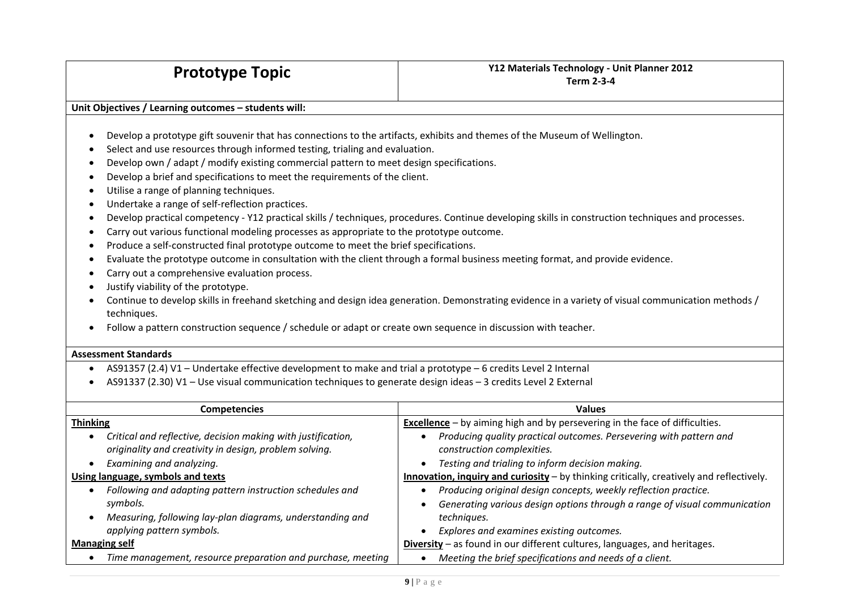#### **Unit Objectives / Learning outcomes – students will:**

- 0 Develop <sup>a</sup> prototype gift souvenir that has connections to the artifacts, exhibits and themes of the Museum of Wellington.
- 0 • Select and use resources through informed testing, trialing and evaluation.
- Develop own / adapt / modify existing commercial pattern to meet design specifications.
- Develop <sup>a</sup> brief and specifications to meet the requirements of the client.
- Utilise <sup>a</sup> range of planning techniques.
- Undertake a range of self-reflection practices.
- Develop practical competency Y12 practical skills / techniques, procedures. Continue developing skills in construction techniques and processes.
- Carry out various functional modeling processes as appropriate to the prototype outcome.
- Produce a self-constructed final prototype outcome to meet the brief specifications.
- Evaluate the prototype outcome in consultation with the client through <sup>a</sup> formal business meeting format, and provide evidence.
- Carry out <sup>a</sup> comprehensive evaluation process.
- Justify viability of the prototype.
- Continue to develop skills in freehand sketching and design idea generation. Demonstrating evidence in <sup>a</sup> variety of visual communication methods / techniques.
- Follow <sup>a</sup> pattern construction sequence / schedule or adapt or create own sequence in discussion with teacher.

#### **Assessment Standards**

- AS91357 (2.4) V1 Undertake effective development to make and trial <sup>a</sup> prototype 6 credits Level 2 Internal
- AS91337 (2.30) V1 Use visual communication techniques to generate design ideas 3 credits Level 2 External

| <b>Competencies</b>                                                       | <b>Values</b>                                                                            |  |  |
|---------------------------------------------------------------------------|------------------------------------------------------------------------------------------|--|--|
| <b>Thinking</b>                                                           | <b>Excellence</b> - by aiming high and by persevering in the face of difficulties.       |  |  |
| Critical and reflective, decision making with justification,<br>$\bullet$ | Producing quality practical outcomes. Persevering with pattern and                       |  |  |
| originality and creativity in design, problem solving.                    | construction complexities.                                                               |  |  |
| Examining and analyzing.<br>$\bullet$                                     | Testing and trialing to inform decision making.                                          |  |  |
| Using language, symbols and texts                                         | Innovation, inquiry and curiosity - by thinking critically, creatively and reflectively. |  |  |
| Following and adapting pattern instruction schedules and                  | Producing original design concepts, weekly reflection practice.                          |  |  |
| symbols.                                                                  | Generating various design options through a range of visual communication                |  |  |
| Measuring, following lay-plan diagrams, understanding and                 | techniques.                                                                              |  |  |
| applying pattern symbols.                                                 | Explores and examines existing outcomes.                                                 |  |  |
| <b>Managing self</b>                                                      | Diversity - as found in our different cultures, languages, and heritages.                |  |  |
| Time management, resource preparation and purchase, meeting               | Meeting the brief specifications and needs of a client.                                  |  |  |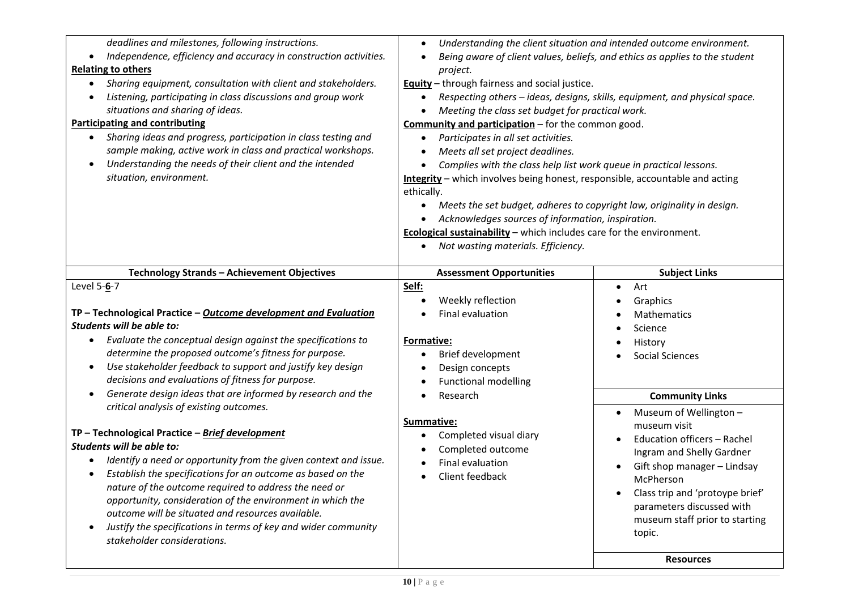| deadlines and milestones, following instructions.<br>Independence, efficiency and accuracy in construction activities.<br>$\bullet$<br><b>Relating to others</b><br>Sharing equipment, consultation with client and stakeholders.<br>$\bullet$<br>Listening, participating in class discussions and group work<br>٠<br>situations and sharing of ideas.<br><b>Participating and contributing</b><br>Sharing ideas and progress, participation in class testing and<br>sample making, active work in class and practical workshops.<br>Understanding the needs of their client and the intended<br>$\bullet$<br>situation, environment.                                            | Understanding the client situation and intended outcome environment.<br>Being aware of client values, beliefs, and ethics as applies to the student<br>project.<br><b>Equity</b> - through fairness and social justice.<br>Respecting others - ideas, designs, skills, equipment, and physical space.<br>Meeting the class set budget for practical work.<br>Community and participation - for the common good.<br>Participates in all set activities.<br>Meets all set project deadlines.<br>Complies with the class help list work queue in practical lessons.<br>Integrity - which involves being honest, responsible, accountable and acting<br>ethically.<br>Meets the set budget, adheres to copyright law, originality in design.<br>Acknowledges sources of information, inspiration.<br>Ecological sustainability - which includes care for the environment.<br>Not wasting materials. Efficiency. |                                                                                                                                                                                                                                                                                                                       |  |
|-----------------------------------------------------------------------------------------------------------------------------------------------------------------------------------------------------------------------------------------------------------------------------------------------------------------------------------------------------------------------------------------------------------------------------------------------------------------------------------------------------------------------------------------------------------------------------------------------------------------------------------------------------------------------------------|-------------------------------------------------------------------------------------------------------------------------------------------------------------------------------------------------------------------------------------------------------------------------------------------------------------------------------------------------------------------------------------------------------------------------------------------------------------------------------------------------------------------------------------------------------------------------------------------------------------------------------------------------------------------------------------------------------------------------------------------------------------------------------------------------------------------------------------------------------------------------------------------------------------|-----------------------------------------------------------------------------------------------------------------------------------------------------------------------------------------------------------------------------------------------------------------------------------------------------------------------|--|
| Technology Strands - Achievement Objectives                                                                                                                                                                                                                                                                                                                                                                                                                                                                                                                                                                                                                                       | <b>Assessment Opportunities</b>                                                                                                                                                                                                                                                                                                                                                                                                                                                                                                                                                                                                                                                                                                                                                                                                                                                                             | <b>Subject Links</b>                                                                                                                                                                                                                                                                                                  |  |
| Level 5-6-7<br>TP - Technological Practice - Outcome development and Evaluation<br>Students will be able to:<br>Evaluate the conceptual design against the specifications to<br>$\bullet$<br>determine the proposed outcome's fitness for purpose.<br>Use stakeholder feedback to support and justify key design<br>$\bullet$                                                                                                                                                                                                                                                                                                                                                     | Self:<br>Weekly reflection<br>Final evaluation<br>Formative:<br>Brief development<br>Design concepts                                                                                                                                                                                                                                                                                                                                                                                                                                                                                                                                                                                                                                                                                                                                                                                                        | Art<br>$\bullet$<br>Graphics<br>Mathematics<br>Science<br>History<br><b>Social Sciences</b>                                                                                                                                                                                                                           |  |
| decisions and evaluations of fitness for purpose.<br>Generate design ideas that are informed by research and the<br>$\bullet$<br>critical analysis of existing outcomes.<br>TP-Technological Practice-Brief development<br>Students will be able to:<br>Identify a need or opportunity from the given context and issue.<br>Establish the specifications for an outcome as based on the<br>$\bullet$<br>nature of the outcome required to address the need or<br>opportunity, consideration of the environment in which the<br>outcome will be situated and resources available.<br>Justify the specifications in terms of key and wider community<br>stakeholder considerations. | <b>Functional modelling</b><br>Research<br>Summative:<br>Completed visual diary<br>Completed outcome<br>Final evaluation<br>Client feedback                                                                                                                                                                                                                                                                                                                                                                                                                                                                                                                                                                                                                                                                                                                                                                 | <b>Community Links</b><br>Museum of Wellington -<br>$\bullet$<br>museum visit<br>Education officers - Rachel<br>Ingram and Shelly Gardner<br>Gift shop manager - Lindsay<br>McPherson<br>Class trip and 'protoype brief'<br>parameters discussed with<br>museum staff prior to starting<br>topic.<br><b>Resources</b> |  |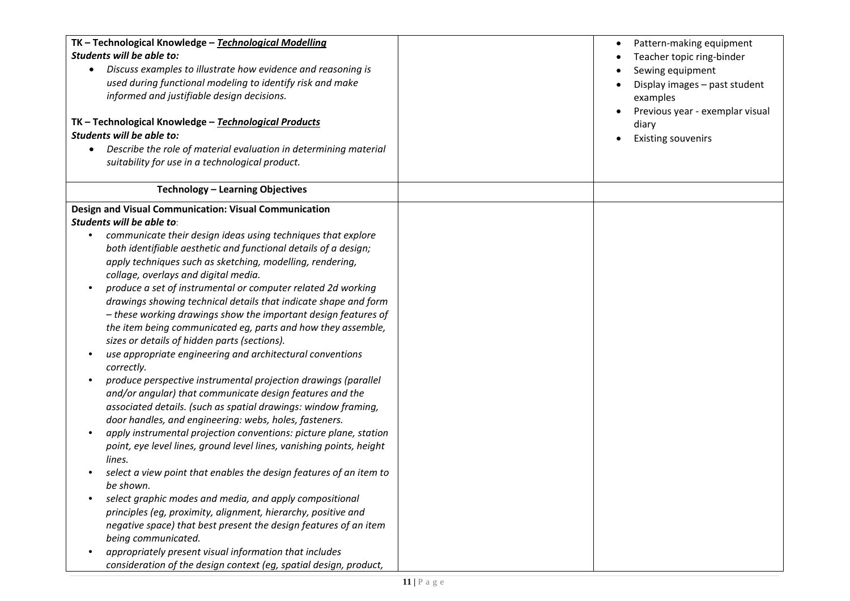| TK - Technological Knowledge - Technological Modelling<br>Students will be able to:<br>Discuss examples to illustrate how evidence and reasoning is<br>$\bullet$<br>used during functional modeling to identify risk and make<br>informed and justifiable design decisions.<br>TK-Technological Knowledge-Technological Products<br>Students will be able to:<br>Describe the role of material evaluation in determining material<br>suitability for use in a technological product.                                                                                                                                                                                                                                                                                                                                                                                                                                                                                                                                                                                                                                                                                                                                                                                                                                                                                                                                                                                                                                                                                                                                                               | Pattern-making equipment<br>$\bullet$<br>Teacher topic ring-binder<br>Sewing equipment<br>Display images - past student<br>examples<br>Previous year - exemplar visual<br>diary<br><b>Existing souvenirs</b> |
|----------------------------------------------------------------------------------------------------------------------------------------------------------------------------------------------------------------------------------------------------------------------------------------------------------------------------------------------------------------------------------------------------------------------------------------------------------------------------------------------------------------------------------------------------------------------------------------------------------------------------------------------------------------------------------------------------------------------------------------------------------------------------------------------------------------------------------------------------------------------------------------------------------------------------------------------------------------------------------------------------------------------------------------------------------------------------------------------------------------------------------------------------------------------------------------------------------------------------------------------------------------------------------------------------------------------------------------------------------------------------------------------------------------------------------------------------------------------------------------------------------------------------------------------------------------------------------------------------------------------------------------------------|--------------------------------------------------------------------------------------------------------------------------------------------------------------------------------------------------------------|
| Technology - Learning Objectives                                                                                                                                                                                                                                                                                                                                                                                                                                                                                                                                                                                                                                                                                                                                                                                                                                                                                                                                                                                                                                                                                                                                                                                                                                                                                                                                                                                                                                                                                                                                                                                                                   |                                                                                                                                                                                                              |
| Design and Visual Communication: Visual Communication<br>Students will be able to:<br>communicate their design ideas using techniques that explore<br>both identifiable aesthetic and functional details of a design;<br>apply techniques such as sketching, modelling, rendering,<br>collage, overlays and digital media.<br>produce a set of instrumental or computer related 2d working<br>$\bullet$<br>drawings showing technical details that indicate shape and form<br>- these working drawings show the important design features of<br>the item being communicated eg, parts and how they assemble,<br>sizes or details of hidden parts (sections).<br>use appropriate engineering and architectural conventions<br>٠<br>correctly.<br>produce perspective instrumental projection drawings (parallel<br>$\bullet$<br>and/or angular) that communicate design features and the<br>associated details. (such as spatial drawings: window framing,<br>door handles, and engineering: webs, holes, fasteners.<br>apply instrumental projection conventions: picture plane, station<br>٠<br>point, eye level lines, ground level lines, vanishing points, height<br>lines.<br>select a view point that enables the design features of an item to<br>be shown.<br>select graphic modes and media, and apply compositional<br>$\bullet$<br>principles (eg, proximity, alignment, hierarchy, positive and<br>negative space) that best present the design features of an item<br>being communicated.<br>appropriately present visual information that includes<br>$\bullet$<br>consideration of the design context (eg, spatial design, product, |                                                                                                                                                                                                              |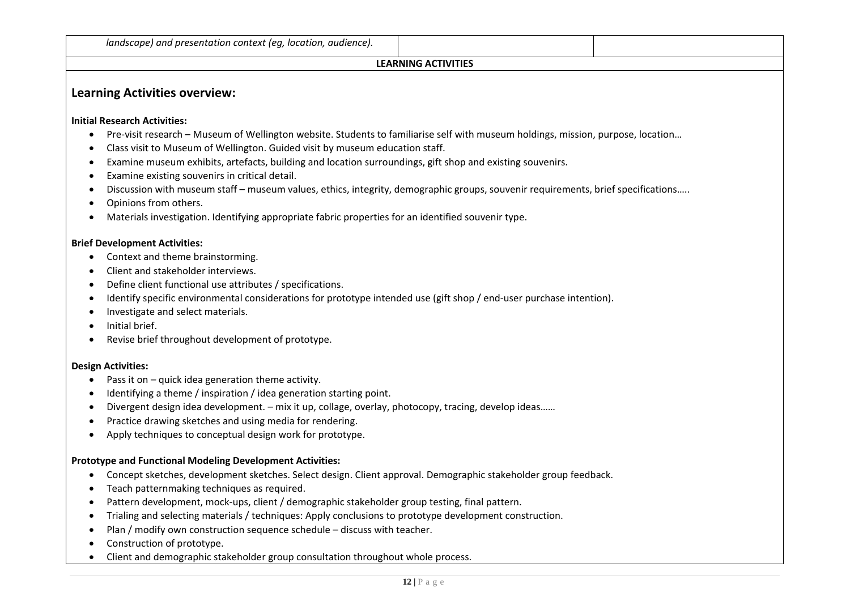#### **LEARNING ACTIVITIES**

# **Learning Activities overview:**

#### **Initial Research Activities:**

- Pre-visit research Museum of Wellington website. Students to familiarise self with museum holdings, mission, purpose, location...
- 0 Class visit to Museum of Wellington. Guided visit by museum education staff.
- Examine museum exhibits, artefacts, building and location surroundings, gift shop and existing souvenirs.
- Examine existing souvenirs in critical detail.
- Discussion with museum staff museum values, ethics, integrity, demographic groups, souvenir requirements, brief specifications…..
- $\bullet$ Opinions from others.
- Materials investigation. Identifying appropriate fabric properties for an identified souvenir type.

#### **Brief Development Activities:**

- Context and theme brainstorming.
- Client and stakeholder interviews.
- Define client functional use attributes / specifications.
- Identify specific environmental considerations for prototype intended use (gift shop / end-user purchase intention).
- Investigate and select materials.
- Initial brief.
- . Revise brief throughout development of prototype.

#### **Design Activities:**

- Pass it on quick idea generation theme activity.
- . Identifying <sup>a</sup> theme / inspiration / idea generation starting point.
- Divergent design idea development. mix it up, collage, overlay, photocopy, tracing, develop ideas……
- Practice drawing sketches and using media for rendering.
- . Apply techniques to conceptual design work for prototype.

#### **Prototype and Functional Modeling Development Activities:**

- Concept sketches, development sketches. Select design. Client approval. Demographic stakeholder group feedback.
- Teach patternmaking techniques as required.
- Pattern development, mock-ups, client / demographic stakeholder group testing, final pattern.
- Trialing and selecting materials / techniques: Apply conclusions to prototype development construction.
- Plan / modify own construction sequence schedule discuss with teacher.
- $\bullet$ • Construction of prototype.
- . Client and demographic stakeholder group consultation throughout whole process.